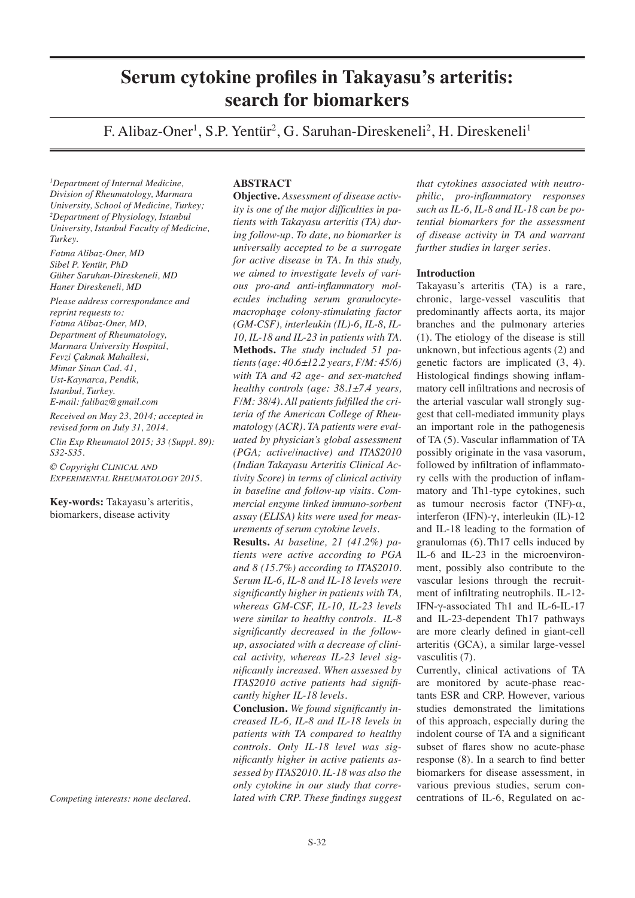# **Serum cytokine profiles in Takayasu's arteritis: search for biomarkers**

F. Alibaz-Oner<sup>1</sup>, S.P. Yentür<sup>2</sup>, G. Saruhan-Direskeneli<sup>2</sup>, H. Direskeneli<sup>1</sup>

*1 Department of Internal Medicine, Division of Rheumatology, Marmara University, School of Medicine, Turkey; 2 Department of Physiology, Istanbul University, Istanbul Faculty of Medicine, Turkey.*

*Fatma Alibaz-Oner, MD Sibel P. Yentür, PhD Güher Saruhan-Direskeneli, MD Haner Direskeneli, MD*

*Please address correspondance and reprint requests to: Fatma Alibaz-Oner, MD, Department of Rheumatology, Marmara University Hospital, Fevzi Çakmak Mahallesi, Mimar Sinan Cad. 41, Ust-Kaynarca, Pendik, Istanbul, Turkey. E-mail: falibaz@gmail.com Received on May 23, 2014; accepted in revised form on July 31, 2014. Clin Exp Rheumatol 2015; 33 (Suppl. 89):* 

*S32-S35. © Copyright Clinical and Experimental Rheumatology 2015.*

**Key-words:** Takayasu's arteritis, biomarkers, disease activity

*Competing interests: none declared.*

## **ABSTRACT**

**Objective.** *Assessment of disease activity is one of the major difficulties in patients with Takayasu arteritis (TA) during follow-up. To date, no biomarker is universally accepted to be a surrogate for active disease in TA. In this study, we aimed to investigate levels of various pro-and anti-inflammatory molecules including serum granulocytemacrophage colony-stimulating factor (GM-CSF), interleukin (IL)-6, IL-8, IL-10, IL-18 and IL-23 in patients with TA.* **Methods.** *The study included 51 patients (age: 40.6±12.2 years, F/M: 45/6) with TA and 42 age- and sex-matched healthy controls (age: 38.1±7.4 years, F/M: 38/4). All patients fulfilled the criteria of the American College of Rheumatology (ACR). TA patients were evaluated by physician's global assessment (PGA; active/inactive) and ITAS2010 (Indian Takayasu Arteritis Clinical Activity Score) in terms of clinical activity in baseline and follow-up visits. Commercial enzyme linked immuno-sorbent assay (ELISA) kits were used for measurements of serum cytokine levels.* 

**Results.** *At baseline, 21 (41.2%) patients were active according to PGA and 8 (15.7%) according to ITAS2010. Serum IL-6, IL-8 and IL-18 levels were significantly higher in patients with TA, whereas GM-CSF, IL-10, IL-23 levels were similar to healthy controls. IL-8 significantly decreased in the followup, associated with a decrease of clinical activity, whereas IL-23 level significantly increased. When assessed by ITAS2010 active patients had significantly higher IL-18 levels.*

**Conclusion.** *We found significantly increased IL-6, IL-8 and IL-18 levels in patients with TA compared to healthy controls. Only IL-18 level was significantly higher in active patients assessed by ITAS2010. IL-18 was also the only cytokine in our study that correlated with CRP. These findings suggest* 

*that cytokines associated with neutrophilic, pro-inflammatory responses such as IL-6, IL-8 and IL-18 can be potential biomarkers for the assessment of disease activity in TA and warrant further studies in larger series.*

## **Introduction**

Takayasu's arteritis (TA) is a rare, chronic, large-vessel vasculitis that predominantly affects aorta, its major branches and the pulmonary arteries (1). The etiology of the disease is still unknown, but infectious agents (2) and genetic factors are implicated (3, 4). Histological findings showing inflammatory cell infiltrations and necrosis of the arterial vascular wall strongly suggest that cell-mediated immunity plays an important role in the pathogenesis of TA (5). Vascular inflammation of TA possibly originate in the vasa vasorum, followed by infiltration of inflammatory cells with the production of inflammatory and Th1-type cytokines, such as tumour necrosis factor (TNF)-α, interferon (IFN)-γ, interleukin (IL)-12 and IL-18 leading to the formation of granulomas (6). Th17 cells induced by IL-6 and IL-23 in the microenvironment, possibly also contribute to the vascular lesions through the recruitment of infiltrating neutrophils. IL-12- IFN-γ-associated Th1 and IL-6-IL-17 and IL-23-dependent Th17 pathways are more clearly defined in giant-cell arteritis (GCA), a similar large-vessel vasculitis (7).

Currently, clinical activations of TA are monitored by acute-phase reactants ESR and CRP. However, various studies demonstrated the limitations of this approach, especially during the indolent course of TA and a significant subset of flares show no acute-phase response (8). In a search to find better biomarkers for disease assessment, in various previous studies, serum concentrations of IL-6, Regulated on ac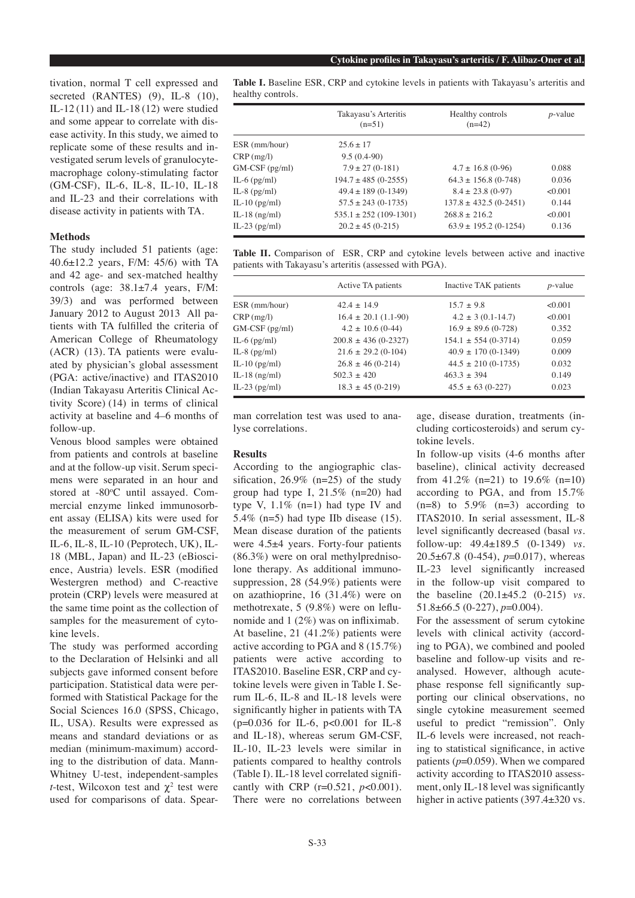tivation, normal T cell expressed and secreted (RANTES) (9), IL-8 (10), IL-12 (11) and IL-18 (12) were studied and some appear to correlate with disease activity. In this study, we aimed to replicate some of these results and investigated serum levels of granulocytemacrophage colony-stimulating factor (GM-CSF), IL-6, IL-8, IL-10, IL-18 and IL-23 and their correlations with disease activity in patients with TA.

#### **Methods**

The study included 51 patients (age: 40.6±12.2 years, F/M: 45/6) with TA and 42 age- and sex-matched healthy controls (age: 38.1±7.4 years, F/M: 39/3) and was performed between January 2012 to August 2013 All patients with TA fulfilled the criteria of American College of Rheumatology (ACR) (13). TA patients were evaluated by physician's global assessment (PGA: active/inactive) and ITAS2010 (Indian Takayasu Arteritis Clinical Activity Score) (14) in terms of clinical activity at baseline and 4–6 months of follow-up.

Venous blood samples were obtained from patients and controls at baseline and at the follow-up visit. Serum specimens were separated in an hour and stored at -80°C until assayed. Commercial enzyme linked immunosorbent assay (ELISA) kits were used for the measurement of serum GM-CSF, IL-6, IL-8, IL-10 (Peprotech, UK), IL-18 (MBL, Japan) and IL-23 (eBioscience, Austria) levels. ESR (modified Westergren method) and C-reactive protein (CRP) levels were measured at the same time point as the collection of samples for the measurement of cytokine levels.

The study was performed according to the Declaration of Helsinki and all subjects gave informed consent before participation. Statistical data were performed with Statistical Package for the Social Sciences 16.0 (SPSS, Chicago, IL, USA). Results were expressed as means and standard deviations or as median (minimum-maximum) according to the distribution of data. Mann-Whitney U-test, independent-samples *t*-test, Wilcoxon test and  $\chi^2$  test were used for comparisons of data. Spear**Table I.** Baseline ESR, CRP and cytokine levels in patients with Takayasu's arteritis and healthy controls.

|                 | Takayasu's Arteritis<br>$(n=51)$ | Healthy controls<br>$(n=42)$ | $p$ -value |
|-----------------|----------------------------------|------------------------------|------------|
| ESR (mm/hour)   | $25.6 + 17$                      |                              |            |
| CRP(mg/l)       | $9.5(0.4-90)$                    |                              |            |
| GM-CSF (pg/ml)  | $7.9 \pm 27(0-181)$              | $4.7 \pm 16.8$ (0-96)        | 0.088      |
| IL-6 $(pg/ml)$  | $194.7 \pm 485 (0 - 2555)$       | $64.3 \pm 156.8$ (0-748)     | 0.036      |
| IL-8 $(pg/ml)$  | $49.4 \pm 189$ (0-1349)          | $8.4 \pm 23.8$ (0-97)        | < 0.001    |
| IL-10 $(pg/ml)$ | $57.5 \pm 243$ (0-1735)          | $137.8 \pm 432.5$ (0-2451)   | 0.144      |
| IL-18 $(ng/ml)$ | $535.1 \pm 252$ (109-1301)       | $268.8 + 216.2$              | < 0.001    |
| IL-23 $(pg/ml)$ | $20.2 \pm 45 (0 - 215)$          | $63.9 \pm 195.2$ (0-1254)    | 0.136      |

**Table II.** Comparison of ESR, CRP and cytokine levels between active and inactive patients with Takayasu's arteritis (assessed with PGA).

|                  | Active TA patients         | Inactive TAK patients    | $p$ -value |
|------------------|----------------------------|--------------------------|------------|
| ESR (mm/hour)    | $42.4 + 14.9$              | $15.7 + 9.8$             | < 0.001    |
| $CRP$ (mg/l)     | $16.4 \pm 20.1$ (1.1-90)   | $4.2 \pm 3(0.1 - 14.7)$  | < 0.001    |
| $GM-CSF$ (pg/ml) | $4.2 \pm 10.6$ (0-44)      | $16.9 \pm 89.6$ (0-728)  | 0.352      |
| IL-6 $(pg/ml)$   | $200.8 \pm 436 (0 - 2327)$ | $154.1 \pm 554 (0-3714)$ | 0.059      |
| IL-8 $(pg/ml)$   | $21.6 \pm 29.2$ (0-104)    | $40.9 \pm 170 (0-1349)$  | 0.009      |
| IL-10 $(pg/ml)$  | $26.8 \pm 46 (0-214)$      | $44.5 \pm 210 (0-1735)$  | 0.032      |
| IL-18 $(ng/ml)$  | $502.3 + 420$              | $463.3 + 394$            | 0.149      |
| IL-23 $(pg/ml)$  | $18.3 \pm 45 (0-219)$      | $45.5 \pm 63 (0-227)$    | 0.023      |

man correlation test was used to analyse correlations.

### **Results**

According to the angiographic classification,  $26.9\%$  (n=25) of the study group had type I,  $21.5\%$  (n=20) had type V,  $1.1\%$  (n=1) had type IV and 5.4% (n=5) had type IIb disease  $(15)$ . Mean disease duration of the patients were 4.5±4 years. Forty-four patients (86.3%) were on oral methylprednisolone therapy. As additional immunosuppression, 28 (54.9%) patients were on azathioprine, 16 (31.4%) were on methotrexate, 5 (9.8%) were on leflunomide and 1 (2%) was on infliximab. At baseline, 21 (41.2%) patients were active according to PGA and 8 (15.7%) patients were active according to ITAS2010. Baseline ESR, CRP and cytokine levels were given in Table I. Serum IL-6, IL-8 and IL-18 levels were significantly higher in patients with TA (p=0.036 for IL-6, p<0.001 for IL-8 and IL-18), whereas serum GM-CSF, IL-10, IL-23 levels were similar in patients compared to healthy controls (Table I). IL-18 level correlated significantly with CRP (r=0.521, *p*<0.001). There were no correlations between

age, disease duration, treatments (including corticosteroids) and serum cytokine levels.

In follow-up visits (4-6 months after baseline), clinical activity decreased from  $41.2\%$  (n=21) to 19.6% (n=10) according to PGA, and from 15.7%  $(n=8)$  to 5.9%  $(n=3)$  according to ITAS2010. In serial assessment, IL-8 level significantly decreased (basal *vs.*  follow-up: 49.4±189.5 (0-1349) *vs.*  20.5±67.8 (0-454), *p*=0.017), whereas IL-23 level significantly increased in the follow-up visit compared to the baseline (20.1±45.2 (0-215) *vs.*  51.8±66.5 (0-227), *p*=0.004).

For the assessment of serum cytokine levels with clinical activity (according to PGA), we combined and pooled baseline and follow-up visits and reanalysed. However, although acutephase response fell significantly supporting our clinical observations, no single cytokine measurement seemed useful to predict "remission". Only IL-6 levels were increased, not reaching to statistical significance, in active patients (*p*=0.059). When we compared activity according to ITAS2010 assessment, only IL-18 level was significantly higher in active patients (397.4±320 vs.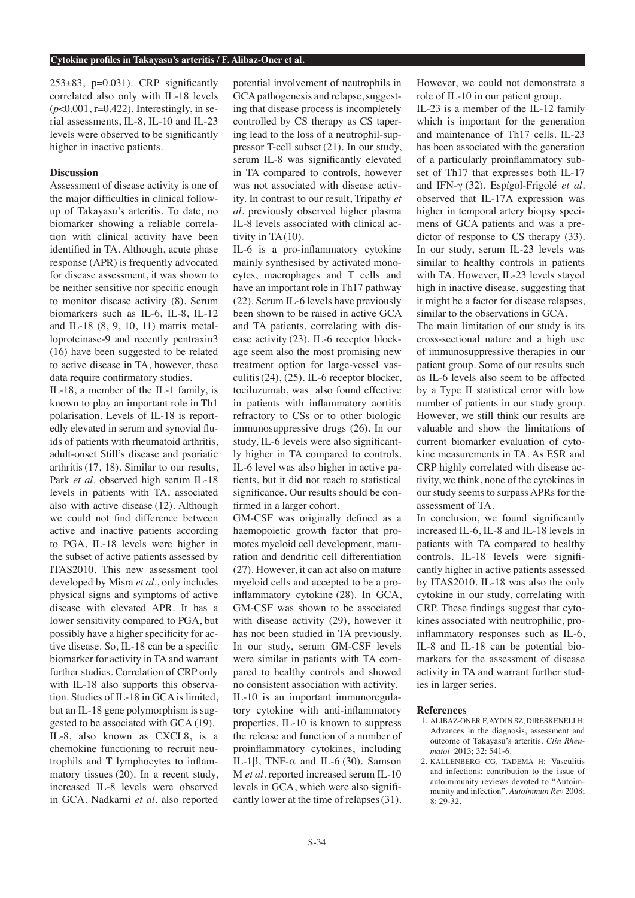$253\pm83$ , p=0.031). CRP significantly correlated also only with IL-18 levels (*p*<0.001, r=0.422). Interestingly, in serial assessments, IL-8, IL-10 and IL-23 levels were observed to be significantly higher in inactive patients.

### **Discussion**

Assessment of disease activity is one of the major difficulties in clinical followup of Takayasu's arteritis. To date, no biomarker showing a reliable correlation with clinical activity have been identified in TA. Although, acute phase response (APR) is frequently advocated for disease assessment, it was shown to be neither sensitive nor specific enough to monitor disease activity (8). Serum biomarkers such as IL-6, IL-8, IL-12 and IL-18 (8, 9, 10, 11) matrix metalloproteinase-9 and recently pentraxin3 (16) have been suggested to be related to active disease in TA, however, these data require confirmatory studies.

IL-18, a member of the IL-1 family, is known to play an important role in Th1 polarisation. Levels of IL-18 is reportedly elevated in serum and synovial fluids of patients with rheumatoid arthritis, adult-onset Still's disease and psoriatic arthritis(17, 18). Similar to our results, Park *et al.* observed high serum IL-18 levels in patients with TA, associated also with active disease (12). Although we could not find difference between active and inactive patients according to PGA, IL-18 levels were higher in the subset of active patients assessed by ITAS2010. This new assessment tool developed by Misra *et al.*, only includes physical signs and symptoms of active disease with elevated APR. It has a lower sensitivity compared to PGA, but possibly have a higher specificity for active disease. So, IL-18 can be a specific biomarker for activity in TA and warrant further studies. Correlation of CRP only with IL-18 also supports this observation. Studies of IL-18 in GCA is limited, but an IL-18 gene polymorphism is suggested to be associated with GCA (19). IL-8, also known as CXCL8, is a chemokine functioning to recruit neutrophils and T lymphocytes to inflammatory tissues (20). In a recent study, increased IL-8 levels were observed in GCA. Nadkarni *et al.* also reported

potential involvement of neutrophils in GCA pathogenesis and relapse, suggesting that disease process is incompletely controlled by CS therapy as CS tapering lead to the loss of a neutrophil-suppressor T-cell subset (21). In our study, serum IL-8 was significantly elevated in TA compared to controls, however was not associated with disease activity. In contrast to our result, Tripathy *et al.* previously observed higher plasma IL-8 levels associated with clinical activity in TA(10).

IL-6 is a pro-inflammatory cytokine mainly synthesised by activated monocytes, macrophages and T cells and have an important role in Th17 pathway (22). Serum IL-6 levels have previously been shown to be raised in active GCA and TA patients, correlating with disease activity (23). IL-6 receptor blockage seem also the most promising new treatment option for large-vessel vasculitis(24), (25). IL-6 receptor blocker, tociluzumab, was also found effective in patients with inflammatory aortitis refractory to CSs or to other biologic immunosuppressive drugs (26). In our study, IL-6 levels were also significantly higher in TA compared to controls. IL-6 level was also higher in active patients, but it did not reach to statistical significance. Our results should be confirmed in a larger cohort.

GM-CSF was originally defined as a haemopoietic growth factor that promotes myeloid cell development, maturation and dendritic cell differentiation (27). However, it can act also on mature myeloid cells and accepted to be a proinflammatory cytokine (28). In GCA, GM-CSF was shown to be associated with disease activity (29), however it has not been studied in TA previously. In our study, serum GM-CSF levels were similar in patients with TA compared to healthy controls and showed no consistent association with activity. IL-10 is an important immunoregulatory cytokine with anti-inflammatory properties. IL-10 is known to suppress the release and function of a number of proinflammatory cytokines, including IL-1β, TNF-α and IL-6 (30). Samson M *et al.* reported increased serum IL-10 levels in GCA, which were also significantly lower at the time of relapses(31).

However, we could not demonstrate a role of IL-10 in our patient group.

IL-23 is a member of the IL-12 family which is important for the generation and maintenance of Th17 cells. IL-23 has been associated with the generation of a particularly proinflammatory subset of Th17 that expresses both IL-17 and IFN-γ (32). Espígol-Frigolé *et al.* observed that IL-17A expression was higher in temporal artery biopsy specimens of GCA patients and was a predictor of response to CS therapy (33). In our study, serum IL-23 levels was similar to healthy controls in patients with TA. However, IL-23 levels stayed high in inactive disease, suggesting that it might be a factor for disease relapses, similar to the observations in GCA.

The main limitation of our study is its cross-sectional nature and a high use of immunosuppressive therapies in our patient group. Some of our results such as IL-6 levels also seem to be affected by a Type II statistical error with low number of patients in our study group. However, we still think our results are valuable and show the limitations of current biomarker evaluation of cytokine measurements in TA. As ESR and CRP highly correlated with disease activity, we think, none of the cytokines in our study seems to surpass APRs for the assessment of TA.

In conclusion, we found significantly increased IL-6, IL-8 and IL-18 levels in patients with TA compared to healthy controls. IL-18 levels were significantly higher in active patients assessed by ITAS2010. IL-18 was also the only cytokine in our study, correlating with CRP. These findings suggest that cytokines associated with neutrophilic, proinflammatory responses such as IL-6, IL-8 and IL-18 can be potential biomarkers for the assessment of disease activity in TA and warrant further studies in larger series.

### **References**

- 1. ALIBAZ-ONER F, AYDIN SZ, DIRESKENELI H: Advances in the diagnosis, assessment and outcome of Takayasu's arteritis. *Clin Rheumatol* 2013; 32: 541-6.
- 2. KALLENBERG CG, TADEMA H: Vasculitis and infections: contribution to the issue of autoimmunity reviews devoted to "Autoimmunity and infection". *Autoimmun Rev* 2008; 8: 29-32.